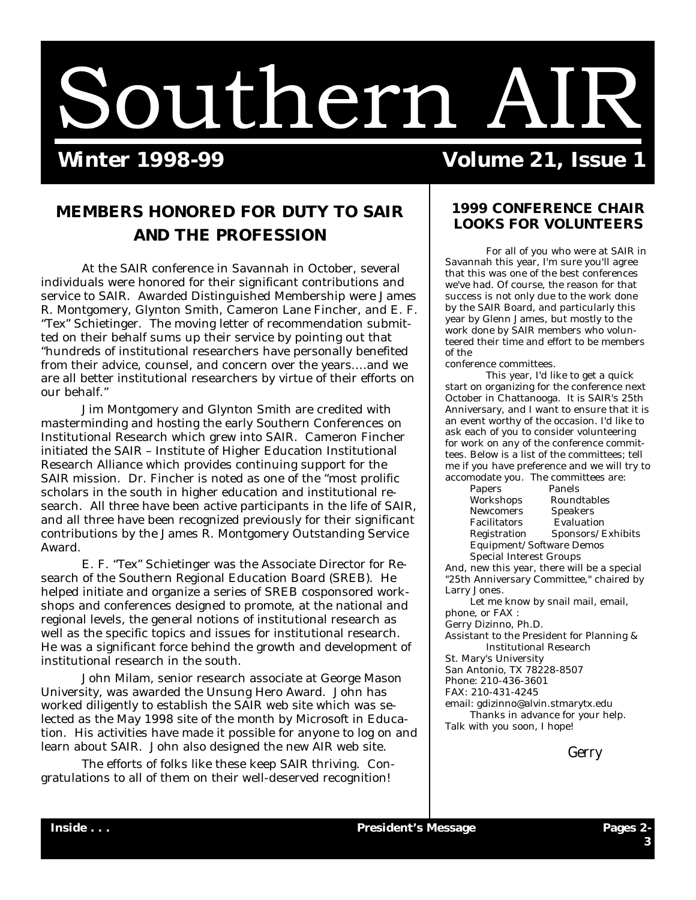

# **Winter 1998-99 Volume 21, Issue 1**

### **MEMBERS HONORED FOR DUTY TO SAIR AND THE PROFESSION**

At the SAIR conference in Savannah in October, several individuals were honored for their significant contributions and service to SAIR. Awarded Distinguished Membership were James R. Montgomery, Glynton Smith, Cameron Lane Fincher, and E. F. "Tex" Schietinger. The moving letter of recommendation submitted on their behalf sums up their service by pointing out that "hundreds of institutional researchers have personally benefited from their advice, counsel, and concern over the years… .and we are all better institutional researchers by virtue of their efforts on our behalf."

Jim Montgomery and Glynton Smith are credited with masterminding and hosting the early Southern Conferences on Institutional Research which grew into SAIR. Cameron Fincher initiated the SAIR – Institute of Higher Education Institutional Research Alliance which provides continuing support for the SAIR mission. Dr. Fincher is noted as one of the "most prolific scholars in the south in higher education and institutional research. All three have been active participants in the life of SAIR, and all three have been recognized previously for their significant contributions by the James R. Montgomery Outstanding Service Award.

 E. F. "Tex" Schietinger was the Associate Director for Research of the Southern Regional Education Board (SREB). He helped initiate and organize a series of SREB cosponsored workshops and conferences designed to promote, at the national and regional levels, the general notions of institutional research as well as the specific topics and issues for institutional research. He was a significant force behind the growth and development of institutional research in the south.

 John Milam, senior research associate at George Mason University, was awarded the Unsung Hero Award. John has worked diligently to establish the SAIR web site which was selected as the May 1998 site of the month by Microsoft in Education. His activities have made it possible for anyone to log on and learn about SAIR. John also designed the new AIR web site.

 The efforts of folks like these keep SAIR thriving. Congratulations to all of them on their well-deserved recognition!

### **1999 CONFERENCE CHAIR LOOKS FOR VOLUNTEERS**

 For all of you who were at SAIR in Savannah this year, I'm sure you'll agree that this was one of the best conferences we've had. Of course, the reason for that success is not only due to the work done by the SAIR Board, and particularly this year by Glenn James, but mostly to the work done by SAIR members who volunteered their time and effort to be members of the

conference committees.

 This year, I'd like to get a quick start on organizing for the conference next October in Chattanooga. It is SAIR's 25th Anniversary, and I want to ensure that it is an event worthy of the occasion. I'd like to ask each of you to consider volunteering for work on any of the conference committees. Below is a list of the committees; tell me if you have preference and we will try to accomodate you. The committees are:

| Papers                  | Panels                   |
|-------------------------|--------------------------|
| Workshops               | Roundtables              |
| Newcomers               | Speakers                 |
| Facilitators            | Evaluation               |
| Registration            | Sponsors/Exhibits        |
|                         | Equipment/Software Demos |
| Special Interest Groups |                          |

And, new this year, there will be a special "25th Anniversary Committee," chaired by Larry Jones.

 Let me know by snail mail, email, phone, or FAX :

Gerry Dizinno, Ph.D.

Assistant to the President for Planning & Institutional Research

St. Mary's University

San Antonio, TX 78228-8507

Phone: 210-436-3601

FAX: 210-431-4245

email: gdizinno@alvin.stmarytx.edu

 Thanks in advance for your help. Talk with you soon, I hope!

Gerry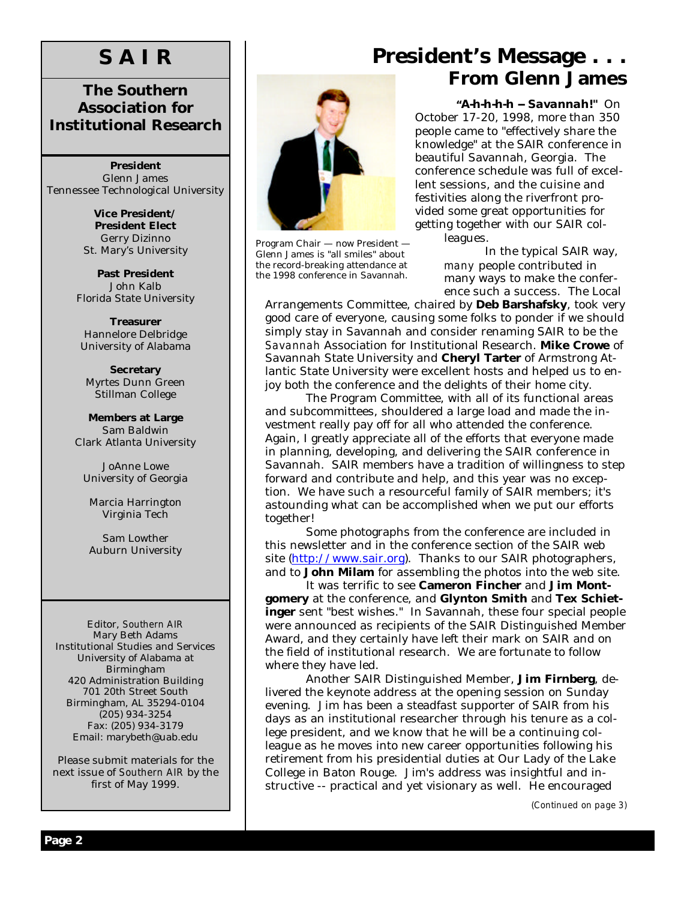# **S A I R**

### **The Southern Association for Institutional Research**

**President** Glenn James Tennessee Technological University

> **Vice President/ President Elect** Gerry Dizinno St. Mary's University

**Past President** John Kalb Florida State University

**Treasurer** Hannelore Delbridge University of Alabama

**Secretary** Myrtes Dunn Green Stillman College

**Members at Large** Sam Baldwin Clark Atlanta University

JoAnne Lowe University of Georgia

Marcia Harrington Virginia Tech

Sam Lowther Auburn University

Editor, *Southern AIR* Mary Beth Adams Institutional Studies and Services University of Alabama at Birmingham 420 Administration Building 701 20th Street South Birmingham, AL 35294-0104 (205) 934-3254 Fax: (205) 934-3179 Email: marybeth@uab.edu

Please submit materials for the next issue of *Southern AIR* by the first of May 1999.



Program Chair — now President — Glenn James is "all smiles" about the record-breaking attendance at the 1998 conference in Savannah.

# **President's Message . . . From Glenn James**

 *"A-h-h-h-h -- Savannah!"* On October 17-20, 1998, more than 350 people came to "effectively share the knowledge" at the SAIR conference in beautiful Savannah, Georgia. The conference schedule was full of excellent sessions, and the cuisine and festivities along the riverfront provided some great opportunities for getting together with our SAIR colleagues.

> In the typical SAIR way, *many* people contributed in many ways to make the conference such a success. The Local

Arrangements Committee, chaired by **Deb Barshafsky**, took very good care of everyone, causing some folks to ponder if we should simply stay in Savannah and consider renaming SAIR to be the *Savannah* Association for Institutional Research. **Mike Crowe** of Savannah State University and **Cheryl Tarter** of Armstrong Atlantic State University were excellent hosts and helped us to enjoy both the conference and the delights of their home city.

 The Program Committee, with all of its functional areas and subcommittees, shouldered a large load and made the investment really pay off for all who attended the conference. Again, I greatly appreciate all of the efforts that everyone made in planning, developing, and delivering the SAIR conference in Savannah. SAIR members have a tradition of willingness to step forward and contribute and help, and this year was no exception. We have such a resourceful family of SAIR members; it's astounding what can be accomplished when we put our efforts together!

 Some photographs from the conference are included in this newsletter and in the conference section of the SAIR web site (http://www.sair.org). Thanks to our SAIR photographers, and to **John Milam** for assembling the photos into the web site.

It was terrific to see **Cameron Fincher** and **Jim Montgomery** at the conference, and **Glynton Smith** and **Tex Schietinger** sent "best wishes." In Savannah, these four special people were announced as recipients of the SAIR Distinguished Member Award, and they certainly have left their mark on SAIR and on the field of institutional research. We are fortunate to follow where they have led.

 Another SAIR Distinguished Member, **Jim Firnberg**, delivered the keynote address at the opening session on Sunday evening. Jim has been a steadfast supporter of SAIR from his days as an institutional researcher through his tenure as a college president, and we know that he will be a continuing colleague as he moves into new career opportunities following his retirement from his presidential duties at Our Lady of the Lake College in Baton Rouge. Jim's address was insightful and instructive -- practical and yet visionary as well. He encouraged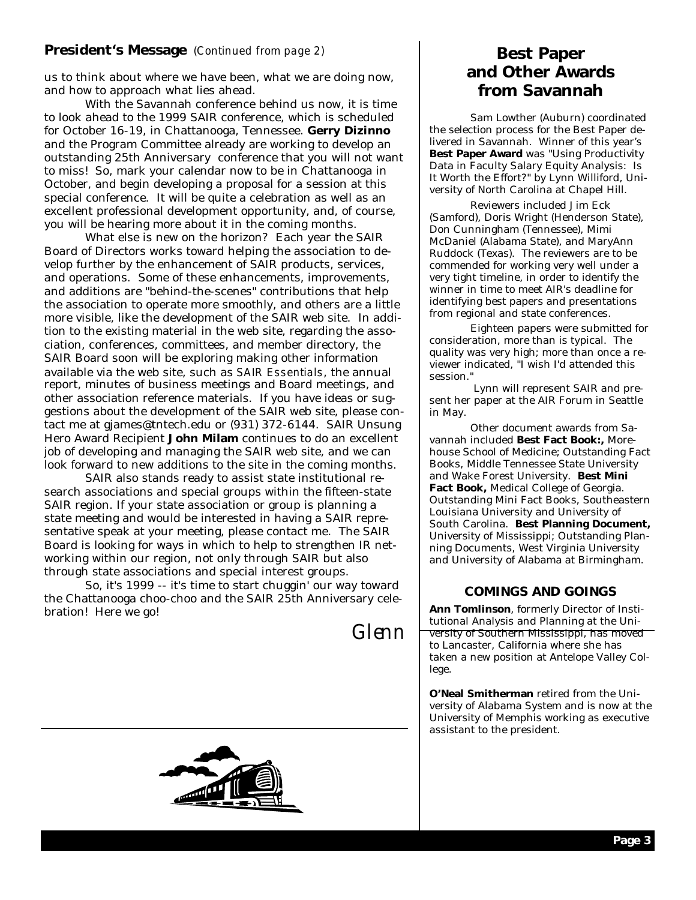### **President's Message** *(Continued from page 2)*

us to think about where we have been, what we are doing now, and how to approach what lies ahead.

 With the Savannah conference behind us now, it is time to look ahead to the 1999 SAIR conference, which is scheduled for October 16-19, in Chattanooga, Tennessee. **Gerry Dizinno** and the Program Committee already are working to develop an outstanding 25th Anniversary conference that you will not want to miss! So, mark your calendar now to be in Chattanooga in October, and begin developing a proposal for a session at this special conference. It will be quite a celebration as well as an excellent professional development opportunity, and, of course, you will be hearing more about it in the coming months.

 What else is new on the horizon? Each year the SAIR Board of Directors works toward helping the association to develop further by the enhancement of SAIR products, services, and operations. Some of these enhancements, improvements, and additions are "behind-the-scenes" contributions that help the association to operate more smoothly, and others are a little more visible, like the development of the SAIR web site. In addition to the existing material in the web site, regarding the association, conferences, committees, and member directory, the SAIR Board soon will be exploring making other information available via the web site, such as *SAIR Essentials*, the annual report, minutes of business meetings and Board meetings, and other association reference materials. If you have ideas or suggestions about the development of the SAIR web site, please contact me at gjames@tntech.edu or (931) 372-6144. SAIR Unsung Hero Award Recipient **John Milam** continues to do an excellent job of developing and managing the SAIR web site, and we can look forward to new additions to the site in the coming months.

SAIR also stands ready to assist state institutional research associations and special groups within the fifteen-state SAIR region. If your state association or group is planning a state meeting and would be interested in having a SAIR representative speak at your meeting, please contact me. The SAIR Board is looking for ways in which to help to strengthen IR networking within our region, not only through SAIR but also through state associations and special interest groups.

 So, it's 1999 -- it's time to start chuggin' our way toward the Chattanooga choo-choo and the SAIR 25th Anniversary celebration! Here we go!

Glenn



 Sam Lowther (Auburn) coordinated the selection process for the Best Paper delivered in Savannah. Winner of this year's **Best Paper Award** was "Using Productivity Data in Faculty Salary Equity Analysis: Is It Worth the Effort?" by Lynn Williford, University of North Carolina at Chapel Hill.

 Reviewers included Jim Eck (Samford), Doris Wright (Henderson State), Don Cunningham (Tennessee), Mimi McDaniel (Alabama State), and MaryAnn Ruddock (Texas). The reviewers are to be commended for working very well under a very tight timeline, in order to identify the winner in time to meet AIR's deadline for identifying best papers and presentations from regional and state conferences.

 Eighteen papers were submitted for consideration, more than is typical. The quality was very high; more than once a reviewer indicated, "I wish I'd attended this session."

 Lynn will represent SAIR and present her paper at the AIR Forum in Seattle in May.

 Other document awards from Savannah included **Best Fact Book:,** Morehouse School of Medicine; Outstanding Fact Books, Middle Tennessee State University and Wake Forest University. **Best Mini Fact Book,** Medical College of Georgia. Outstanding Mini Fact Books, Southeastern Louisiana University and University of South Carolina. **Best Planning Document,**  University of Mississippi; Outstanding Planning Documents, West Virginia University and University of Alabama at Birmingham.

### **COMINGS AND GOINGS**

**Ann Tomlinson**, formerly Director of Institutional Analysis and Planning at the University of Southern Mississippi, has moved to Lancaster, California where she has taken a new position at Antelope Valley College.

**O'Neal Smitherman** retired from the University of Alabama System and is now at the University of Memphis working as executive assistant to the president.

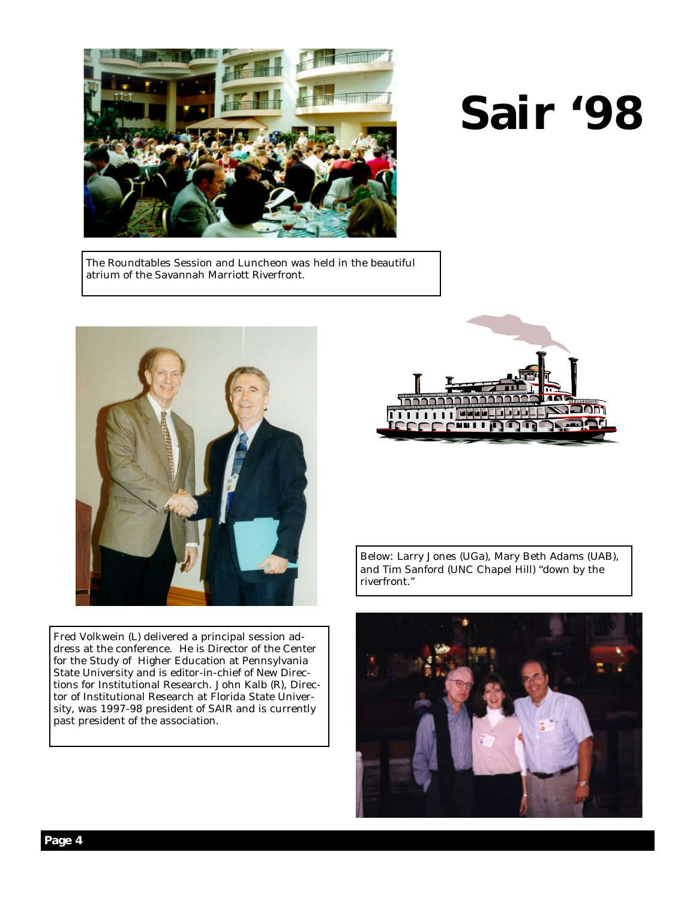

# **Sair '98**

The Roundtables Session and Luncheon was held in the beautiful atrium of the Savannah Marriott Riverfront.



Fred Volkwein (L) delivered a principal session address at the conference. He is Director of the Center for the Study of Higher Education at Pennsylvania State University and is editor-in-chief of New Directions for Institutional Research. John Kalb (R), Director of Institutional Research at Florida State University, was 1997-98 president of SAIR and is currently past president of the association.



Below: Larry Jones (UGa), Mary Beth Adams (UAB), and Tim Sanford (UNC Chapel Hill) "down by the riverfront."

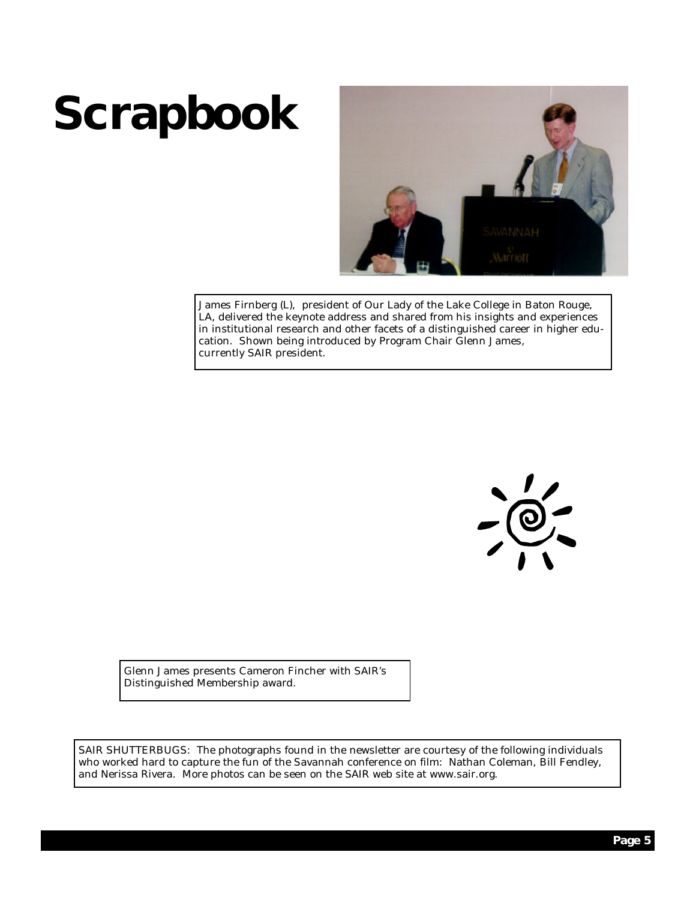# **Scrapbook**



James Firnberg (L), president of Our Lady of the Lake College in Baton Rouge, LA, delivered the keynote address and shared from his insights and experiences in institutional research and other facets of a distinguished career in higher education. Shown being introduced by Program Chair Glenn James, currently SAIR president.



Glenn James presents Cameron Fincher with SAIR's Distinguished Membership award.

SAIR SHUTTERBUGS: The photographs found in the newsletter are courtesy of the following individuals who worked hard to capture the fun of the Savannah conference on film: Nathan Coleman, Bill Fendley, and Nerissa Rivera. More photos can be seen on the SAIR web site at www.sair.org.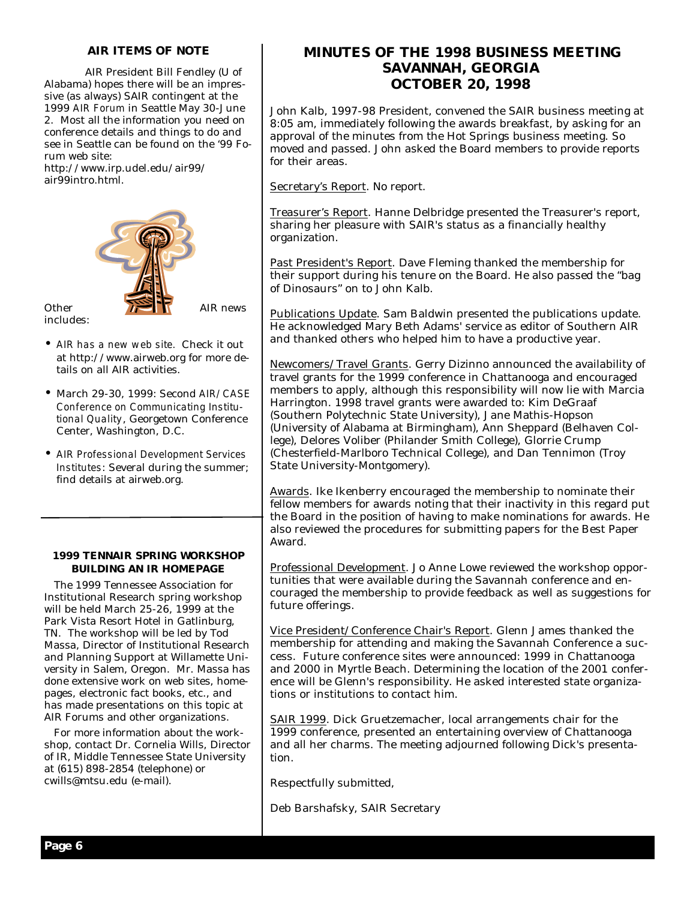### **AIR ITEMS OF NOTE**

 AIR President Bill Fendley (U of Alabama) hopes there will be an impressive (as always) SAIR contingent at the 1999 *AIR Forum* in Seattle May 30-June 2. Most all the information you need on conference details and things to do and see in Seattle can be found on the '99 Forum web site:

http://www.irp.udel.edu/air99/ air99intro.html.



includes:

- •*AIR has a new web site.* Check it out at http://www.airweb.org for more details on all AIR activities.
- •March 29-30, 1999: Second *AIR/CASE Conference on Communicating Institutional Quality*, Georgetown Conference Center, Washington, D.C.
- •*AIR Professional Development Services Institutes*: Several during the summer; find details at airweb.org.

#### **1999 TENNAIR SPRING WORKSHOP BUILDING AN IR HOMEPAGE**

 The 1999 Tennessee Association for Institutional Research spring workshop will be held March 25-26, 1999 at the Park Vista Resort Hotel in Gatlinburg, TN. The workshop will be led by Tod Massa, Director of Institutional Research and Planning Support at Willamette University in Salem, Oregon. Mr. Massa has done extensive work on web sites, homepages, electronic fact books, etc., and has made presentations on this topic at AIR Forums and other organizations.

 For more information about the workshop, contact Dr. Cornelia Wills, Director of IR, Middle Tennessee State University at (615) 898-2854 (telephone) or cwills@mtsu.edu (e-mail).

### **MINUTES OF THE 1998 BUSINESS MEETING SAVANNAH, GEORGIA OCTOBER 20, 1998**

John Kalb, 1997-98 President, convened the SAIR business meeting at 8:05 am, immediately following the awards breakfast, by asking for an approval of the minutes from the Hot Springs business meeting. So moved and passed. John asked the Board members to provide reports for their areas.

Secretary's Report. No report.

Treasurer's Report. Hanne Delbridge presented the Treasurer's report, sharing her pleasure with SAIR's status as a financially healthy organization.

Past President's Report. Dave Fleming thanked the membership for their support during his tenure on the Board. He also passed the "bag of Dinosaurs" on to John Kalb.

Publications Update. Sam Baldwin presented the publications update. He acknowledged Mary Beth Adams' service as editor of Southern AIR and thanked others who helped him to have a productive year.

Newcomers/Travel Grants. Gerry Dizinno announced the availability of travel grants for the 1999 conference in Chattanooga and encouraged members to apply, although this responsibility will now lie with Marcia Harrington. 1998 travel grants were awarded to: Kim DeGraaf (Southern Polytechnic State University), Jane Mathis-Hopson (University of Alabama at Birmingham), Ann Sheppard (Belhaven College), Delores Voliber (Philander Smith College), Glorrie Crump (Chesterfield-Marlboro Technical College), and Dan Tennimon (Troy State University-Montgomery).

Awards. Ike Ikenberry encouraged the membership to nominate their fellow members for awards noting that their inactivity in this regard put the Board in the position of having to make nominations for awards. He also reviewed the procedures for submitting papers for the Best Paper Award.

Professional Development. Jo Anne Lowe reviewed the workshop opportunities that were available during the Savannah conference and encouraged the membership to provide feedback as well as suggestions for future offerings.

Vice President/Conference Chair's Report. Glenn James thanked the membership for attending and making the Savannah Conference a success. Future conference sites were announced: 1999 in Chattanooga and 2000 in Myrtle Beach. Determining the location of the 2001 conference will be Glenn's responsibility. He asked interested state organizations or institutions to contact him.

SAIR 1999. Dick Gruetzemacher, local arrangements chair for the 1999 conference, presented an entertaining overview of Chattanooga and all her charms. The meeting adjourned following Dick's presentation.

Respectfully submitted,

Deb Barshafsky, SAIR Secretary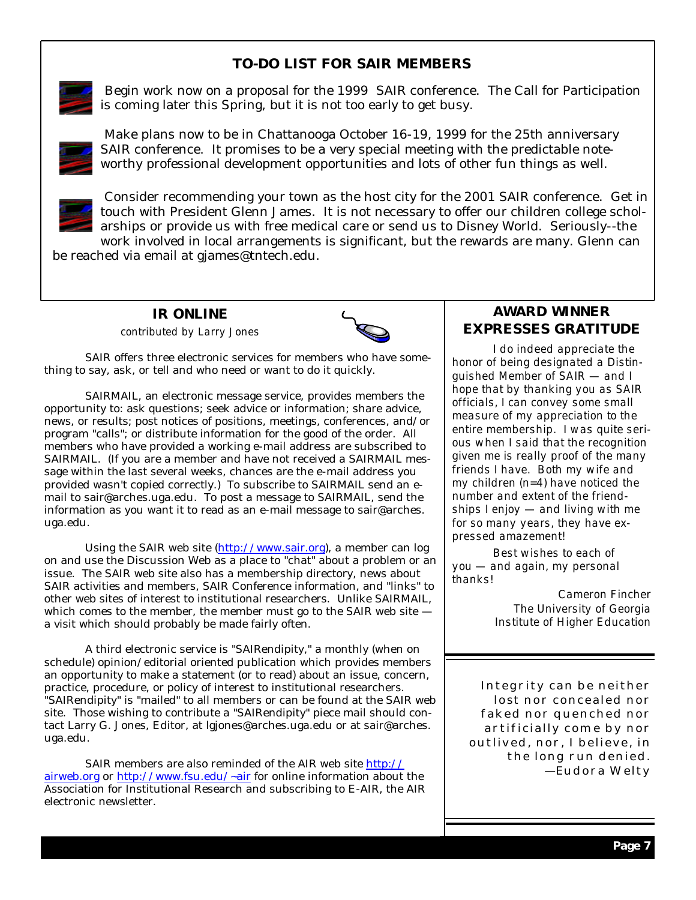### **TO-DO LIST FOR SAIR MEMBERS**



Begin work now on a proposal for the 1999 SAIR conference. The Call for Participation is coming later this Spring, but it is not too early to get busy.



 Make plans now to be in Chattanooga October 16-19, 1999 for the 25th anniversary SAIR conference. It promises to be a very special meeting with the predictable noteworthy professional development opportunities and lots of other fun things as well.



 Consider recommending your town as the host city for the 2001 SAIR conference. Get in touch with President Glenn James. It is not necessary to offer our children college scholarships or provide us with free medical care or send us to Disney World. Seriously--the work involved in local arrangements is significant, but the rewards are many. Glenn can

be reached via email at gjames@tntech.edu.

### **IR ONLINE**

*contributed by Larry Jones*



 SAIR offers three electronic services for members who have something to say, ask, or tell and who need or want to do it quickly.

 SAIRMAIL, an electronic message service, provides members the opportunity to: ask questions; seek advice or information; share advice, news, or results; post notices of positions, meetings, conferences, and/or program "calls"; or distribute information for the good of the order. All members who have provided a working e-mail address are subscribed to SAIRMAIL. (If you are a member and have not received a SAIRMAIL message within the last several weeks, chances are the e-mail address you provided wasn't copied correctly.) To subscribe to SAIRMAIL send an email to sair@arches.uga.edu. To post a message to SAIRMAIL, send the information as you want it to read as an e-mail message to sair@arches. uga.edu.

 Using the SAIR web site (http://www.sair.org), a member can log on and use the Discussion Web as a place to "chat" about a problem or an issue. The SAIR web site also has a membership directory, news about SAIR activities and members, SAIR Conference information, and "links" to other web sites of interest to institutional researchers. Unlike SAIRMAIL, which comes to the member, the member must go to the SAIR web site – a visit which should probably be made fairly often.

 A third electronic service is "SAIRendipity," a monthly (when on schedule) opinion/editorial oriented publication which provides members an opportunity to make a statement (or to read) about an issue, concern, practice, procedure, or policy of interest to institutional researchers. "SAIRendipity" is "mailed" to all members or can be found at the SAIR web site. Those wishing to contribute a "SAIRendipity" piece mail should contact Larry G. Jones, Editor, at lgjones@arches.uga.edu or at sair@arches. uga.edu.

 SAIR members are also reminded of the AIR web site http:// airweb.org or http://www.fsu.edu/~air for online information about the Association for Institutional Research and subscribing to E-AIR, the AIR electronic newsletter.

### **AWARD WINNER EXPRESSES GRATITUDE**

 *I do indeed appreciate the honor of being designated a Distinguished Member of SAIR — and I hope that by thanking you as SAIR officials, I can convey some small measure of my appreciation to the entire membership. I was quite serious when I said that the recognition given me is really proof of the many friends I have. Both my wife and my children (n=4) have noticed the number and extent of the friendships I enjoy — and living with me for so many years, they have expressed amazement!*

 *Best wishes to each of you — and again, my personal thanks!*

> *Cameron Fincher The University of Georgia Institute of Higher Education*

Integrity can be neither lost nor concealed nor faked nor quenched nor artificially come by nor outlived, nor, I believe, in the long run denied. — Eudora Welty